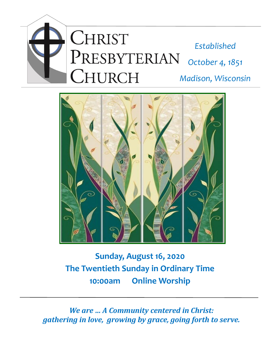



# **Sunday, August 16, 2020 The Twentieth Sunday in Ordinary Time 10:00am Online Worship**

*We are … A Community centered in Christ: gathering in love, growing by grace, going forth to serve.*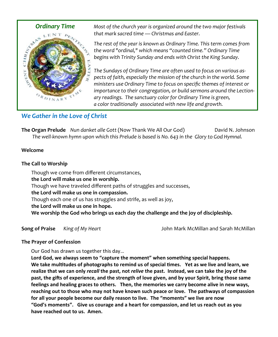

 *Ordinary Time Most of the church year is organized around the two major festivals that mark sacred time — Christmas and Easter.* 

> *The rest of the year is known as Ordinary Time. This term comes from the word "ordinal," which means "counted time." Ordinary Time begins with Trinity Sunday and ends with Christ the King Sunday.*

*The Sundays of Ordinary Time are often used to focus on various aspects of faith, especially the mission of the church in the world. Some ministers use Ordinary Time to focus on specific themes of interest or importance to their congregation, or build sermons around the Lectionary readings. The sanctuary color for Ordinary Time is green, a color traditionally associated with new life and growth.*

# *We Gather in the Love of Christ*

**The Organ Prelude** *Nun danket alle Gott* (Now Thank We All Our God) David N. Johnson *The well-known hymn upon which this Prelude is based is No. 643 in the Glory to God Hymnal.*

## **Welcome**

## **The Call to Worship**

Though we come from different circumstances, **the Lord will make us one in worship.** Though we have traveled different paths of struggles and successes, **the Lord will make us one in compassion.** Though each one of us has struggles and strife, as well as joy, **the Lord will make us one in hope. We worship the God who brings us each day the challenge and the joy of discipleship.**

**Song of Praise** *King of My Heart* John Mark McMillan and Sarah McMillan

## **The Prayer of Confession**

Our God has drawn us together this day…

**Lord God, we always seem to "capture the moment" when something special happens. We take multitudes of photographs to remind us of special times. Yet as we live and learn, we realize that we can only** *recall* **the past, not** *relive* **the past. Instead, we can take the joy of the past, the gifts of experience, and the strength of love given, and by your Spirit, bring those same feelings and healing graces to others. Then, the memories we carry become alive in new ways, reaching out to those who may not have known such peace or love. The pathways of compassion for all your people become our daily reason to live. The "moments" we live are now "God's moments". Give us courage and a heart for compassion, and let us reach out as you have reached out to us. Amen.**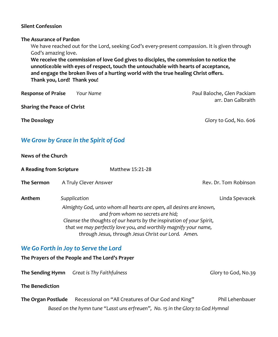### **Silent Confession**

#### **The Assurance of Pardon**

We have reached out for the Lord, seeking God's every-present compassion. It is given through God's amazing love.

**We receive the commission of love God gives to disciples, the commission to notice the unnotice**a**ble with eyes of respect, touch the untouchable with hearts of acceptance, and engage the broken lives of a hurting world with the true healing Christ offers. Thank you, Lord! Thank you!**

**Response of Praise** *Pour Name* **Paul Baloche, Glen Packiam Paul Baloche, Glen Packiam** 

**Sharing the Peace of Christ**

arr. Dan Galbraith

**The Doxology** Glory to God, No. 606

# *We Grow by Grace in the Spirit of God*

### **News of the Church**

| A Reading from Scripture |                                                                       | Matthew 15:21-28                                                                                         |  |                       |
|--------------------------|-----------------------------------------------------------------------|----------------------------------------------------------------------------------------------------------|--|-----------------------|
| The Sermon               | A Truly Clever Answer                                                 |                                                                                                          |  | Rev. Dr. Tom Robinson |
| Anthem                   | Supplication                                                          |                                                                                                          |  | Linda Spevacek        |
|                          |                                                                       | Almighty God, unto whom all hearts are open, all desires are known,<br>and from whom no secrets are hid; |  |                       |
|                          | Cleanse the thoughts of our hearts by the inspiration of your Spirit, |                                                                                                          |  |                       |
|                          | that we may perfectly love you, and worthily magnify your name,       |                                                                                                          |  |                       |
|                          | through Jesus, through Jesus Christ our Lord. Amen.                   |                                                                                                          |  |                       |

## *We Go Forth in Joy to Serve the Lord*

**The Prayers of the People and The Lord's Prayer** 

**The Sending Hymn** Great is Thy Faithfulness **Glory Lines and Glory to God, No.39** 

**The Benediction**

**The Organ Postlude** Recessional on "All Creatures of Our God and King" Phil Lehenbauer *Based on the hymn tune "Lasst uns erfreuen", No. 15 in the Glory to God Hymnal*